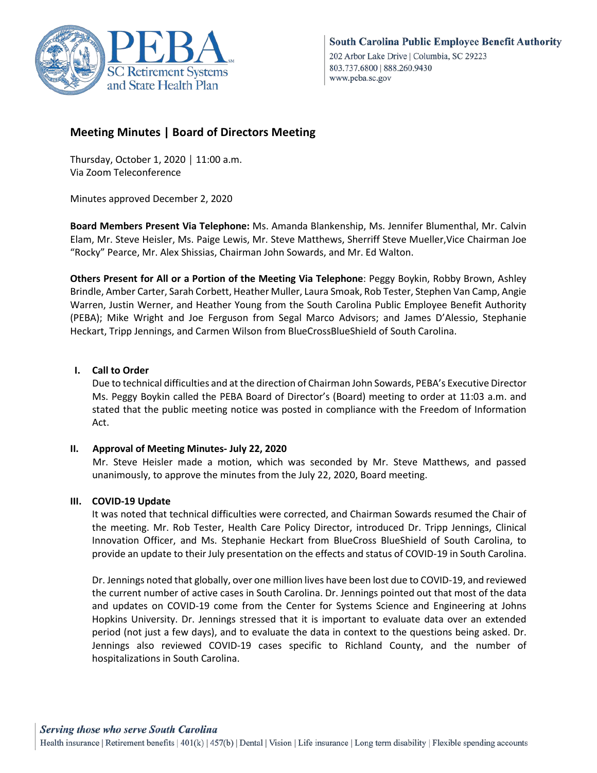

# **Meeting Minutes | Board of Directors Meeting**

Thursday, October 1, 2020 │ 11:00 a.m. Via Zoom Teleconference

Minutes approved December 2, 2020

**Board Members Present Via Telephone:** Ms. Amanda Blankenship, Ms. Jennifer Blumenthal, Mr. Calvin Elam, Mr. Steve Heisler, Ms. Paige Lewis, Mr. Steve Matthews, Sherriff Steve Mueller,Vice Chairman Joe "Rocky" Pearce, Mr. Alex Shissias, Chairman John Sowards, and Mr. Ed Walton.

**Others Present for All or a Portion of the Meeting Via Telephone**: Peggy Boykin, Robby Brown, Ashley Brindle, Amber Carter, Sarah Corbett, Heather Muller, Laura Smoak, Rob Tester, Stephen Van Camp, Angie Warren, Justin Werner, and Heather Young from the South Carolina Public Employee Benefit Authority (PEBA); Mike Wright and Joe Ferguson from Segal Marco Advisors; and James D'Alessio, Stephanie Heckart, Tripp Jennings, and Carmen Wilson from BlueCrossBlueShield of South Carolina.

### **I. Call to Order**

Due to technical difficulties and at the direction of Chairman John Sowards, PEBA's Executive Director Ms. Peggy Boykin called the PEBA Board of Director's (Board) meeting to order at 11:03 a.m. and stated that the public meeting notice was posted in compliance with the Freedom of Information Act.

#### **II. Approval of Meeting Minutes- July 22, 2020**

 Mr. Steve Heisler made a motion, which was seconded by Mr. Steve Matthews, and passed unanimously, to approve the minutes from the July 22, 2020, Board meeting.

#### **III. COVID-19 Update**

It was noted that technical difficulties were corrected, and Chairman Sowards resumed the Chair of the meeting. Mr. Rob Tester, Health Care Policy Director, introduced Dr. Tripp Jennings, Clinical Innovation Officer, and Ms. Stephanie Heckart from BlueCross BlueShield of South Carolina, to provide an update to their July presentation on the effects and status of COVID-19 in South Carolina.

Dr. Jennings noted that globally, over one million lives have been lost due to COVID-19, and reviewed the current number of active cases in South Carolina. Dr. Jennings pointed out that most of the data and updates on COVID-19 come from the Center for Systems Science and Engineering at Johns Hopkins University. Dr. Jennings stressed that it is important to evaluate data over an extended period (not just a few days), and to evaluate the data in context to the questions being asked. Dr. Jennings also reviewed COVID-19 cases specific to Richland County, and the number of hospitalizations in South Carolina.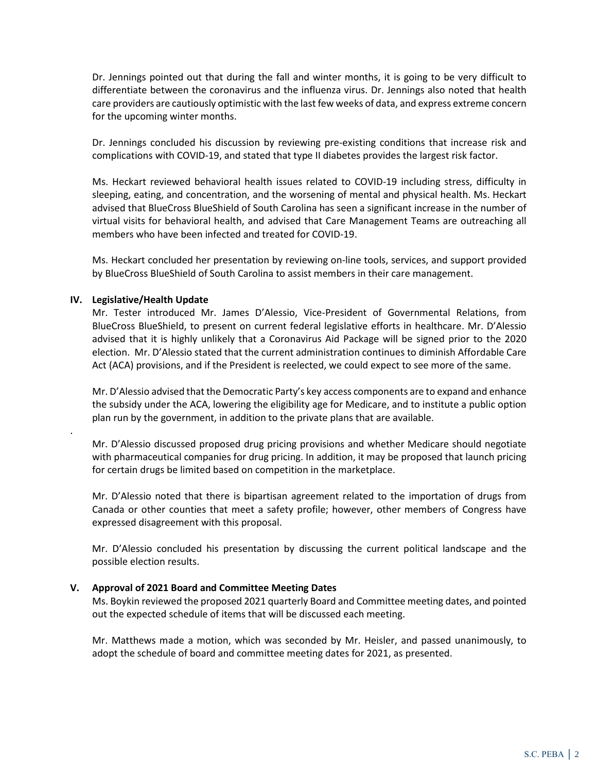Dr. Jennings pointed out that during the fall and winter months, it is going to be very difficult to differentiate between the coronavirus and the influenza virus. Dr. Jennings also noted that health care providers are cautiously optimistic with the last few weeks of data, and express extreme concern for the upcoming winter months.

Dr. Jennings concluded his discussion by reviewing pre-existing conditions that increase risk and complications with COVID-19, and stated that type II diabetes provides the largest risk factor.

Ms. Heckart reviewed behavioral health issues related to COVID-19 including stress, difficulty in sleeping, eating, and concentration, and the worsening of mental and physical health. Ms. Heckart advised that BlueCross BlueShield of South Carolina has seen a significant increase in the number of virtual visits for behavioral health, and advised that Care Management Teams are outreaching all members who have been infected and treated for COVID-19.

Ms. Heckart concluded her presentation by reviewing on-line tools, services, and support provided by BlueCross BlueShield of South Carolina to assist members in their care management.

#### **IV. Legislative/Health Update**

.

Mr. Tester introduced Mr. James D'Alessio, Vice-President of Governmental Relations, from BlueCross BlueShield, to present on current federal legislative efforts in healthcare. Mr. D'Alessio advised that it is highly unlikely that a Coronavirus Aid Package will be signed prior to the 2020 election. Mr. D'Alessio stated that the current administration continues to diminish Affordable Care Act (ACA) provisions, and if the President is reelected, we could expect to see more of the same.

Mr. D'Alessio advised that the Democratic Party's key access components are to expand and enhance the subsidy under the ACA, lowering the eligibility age for Medicare, and to institute a public option plan run by the government, in addition to the private plans that are available.

Mr. D'Alessio discussed proposed drug pricing provisions and whether Medicare should negotiate with pharmaceutical companies for drug pricing. In addition, it may be proposed that launch pricing for certain drugs be limited based on competition in the marketplace.

Mr. D'Alessio noted that there is bipartisan agreement related to the importation of drugs from Canada or other counties that meet a safety profile; however, other members of Congress have expressed disagreement with this proposal.

Mr. D'Alessio concluded his presentation by discussing the current political landscape and the possible election results.

#### **V. Approval of 2021 Board and Committee Meeting Dates**

Ms. Boykin reviewed the proposed 2021 quarterly Board and Committee meeting dates, and pointed out the expected schedule of items that will be discussed each meeting.

Mr. Matthews made a motion, which was seconded by Mr. Heisler, and passed unanimously, to adopt the schedule of board and committee meeting dates for 2021, as presented.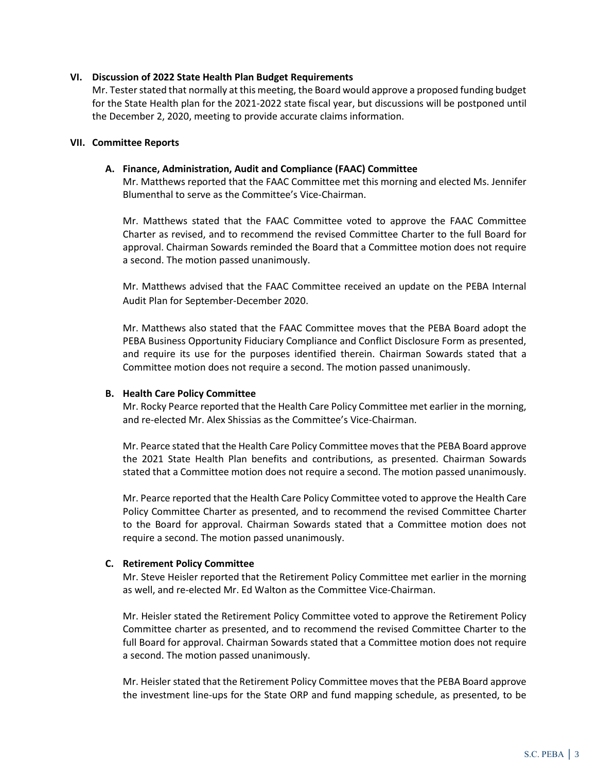#### **VI. Discussion of 2022 State Health Plan Budget Requirements**

Mr. Tester stated that normally at this meeting, the Board would approve a proposed funding budget for the State Health plan for the 2021-2022 state fiscal year, but discussions will be postponed until the December 2, 2020, meeting to provide accurate claims information.

#### **VII. Committee Reports**

#### **A. Finance, Administration, Audit and Compliance (FAAC) Committee**

Mr. Matthews reported that the FAAC Committee met this morning and elected Ms. Jennifer Blumenthal to serve as the Committee's Vice-Chairman.

Mr. Matthews stated that the FAAC Committee voted to approve the FAAC Committee Charter as revised, and to recommend the revised Committee Charter to the full Board for approval. Chairman Sowards reminded the Board that a Committee motion does not require a second. The motion passed unanimously.

Mr. Matthews advised that the FAAC Committee received an update on the PEBA Internal Audit Plan for September-December 2020.

Mr. Matthews also stated that the FAAC Committee moves that the PEBA Board adopt the PEBA Business Opportunity Fiduciary Compliance and Conflict Disclosure Form as presented, and require its use for the purposes identified therein. Chairman Sowards stated that a Committee motion does not require a second. The motion passed unanimously.

#### **B. Health Care Policy Committee**

Mr. Rocky Pearce reported that the Health Care Policy Committee met earlier in the morning, and re-elected Mr. Alex Shissias as the Committee's Vice-Chairman.

Mr. Pearce stated that the Health Care Policy Committee moves that the PEBA Board approve the 2021 State Health Plan benefits and contributions, as presented. Chairman Sowards stated that a Committee motion does not require a second. The motion passed unanimously.

Mr. Pearce reported that the Health Care Policy Committee voted to approve the Health Care Policy Committee Charter as presented, and to recommend the revised Committee Charter to the Board for approval. Chairman Sowards stated that a Committee motion does not require a second. The motion passed unanimously.

#### **C. Retirement Policy Committee**

Mr. Steve Heisler reported that the Retirement Policy Committee met earlier in the morning as well, and re-elected Mr. Ed Walton as the Committee Vice-Chairman.

Mr. Heisler stated the Retirement Policy Committee voted to approve the Retirement Policy Committee charter as presented, and to recommend the revised Committee Charter to the full Board for approval. Chairman Sowards stated that a Committee motion does not require a second. The motion passed unanimously.

Mr. Heisler stated that the Retirement Policy Committee moves that the PEBA Board approve the investment line-ups for the State ORP and fund mapping schedule, as presented, to be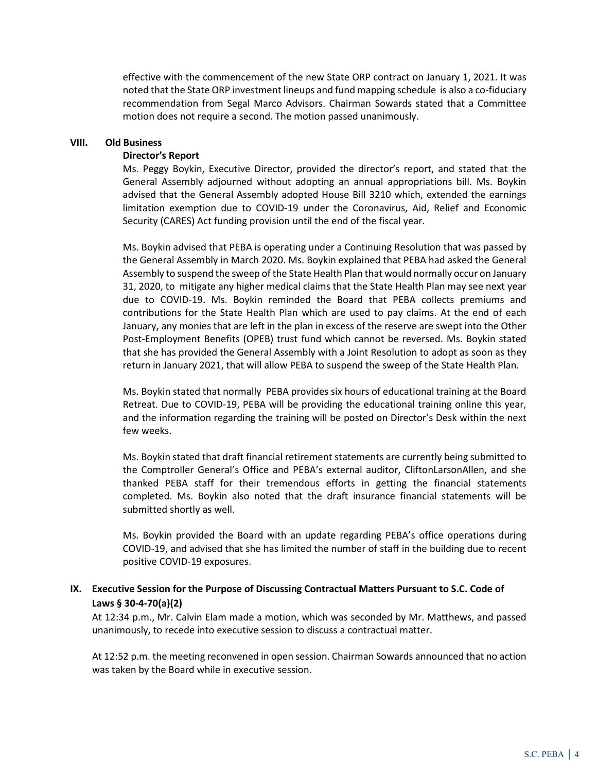effective with the commencement of the new State ORP contract on January 1, 2021. It was noted that the State ORP investment lineups and fund mapping schedule is also a co-fiduciary recommendation from Segal Marco Advisors. Chairman Sowards stated that a Committee motion does not require a second. The motion passed unanimously.

#### **VIII. Old Business**

#### **Director's Report**

Ms. Peggy Boykin, Executive Director, provided the director's report, and stated that the General Assembly adjourned without adopting an annual appropriations bill. Ms. Boykin advised that the General Assembly adopted House Bill 3210 which, extended the earnings limitation exemption due to COVID-19 under the Coronavirus, Aid, Relief and Economic Security (CARES) Act funding provision until the end of the fiscal year.

Ms. Boykin advised that PEBA is operating under a Continuing Resolution that was passed by the General Assembly in March 2020. Ms. Boykin explained that PEBA had asked the General Assembly to suspend the sweep of the State Health Plan that would normally occur on January 31, 2020, to mitigate any higher medical claims that the State Health Plan may see next year due to COVID-19. Ms. Boykin reminded the Board that PEBA collects premiums and contributions for the State Health Plan which are used to pay claims. At the end of each January, any monies that are left in the plan in excess of the reserve are swept into the Other Post-Employment Benefits (OPEB) trust fund which cannot be reversed. Ms. Boykin stated that she has provided the General Assembly with a Joint Resolution to adopt as soon as they return in January 2021, that will allow PEBA to suspend the sweep of the State Health Plan.

Ms. Boykin stated that normally PEBA provides six hours of educational training at the Board Retreat. Due to COVID-19, PEBA will be providing the educational training online this year, and the information regarding the training will be posted on Director's Desk within the next few weeks.

Ms. Boykin stated that draft financial retirement statements are currently being submitted to the Comptroller General's Office and PEBA's external auditor, CliftonLarsonAllen, and she thanked PEBA staff for their tremendous efforts in getting the financial statements completed. Ms. Boykin also noted that the draft insurance financial statements will be submitted shortly as well.

Ms. Boykin provided the Board with an update regarding PEBA's office operations during COVID-19, and advised that she has limited the number of staff in the building due to recent positive COVID-19 exposures.

## **IX. Executive Session for the Purpose of Discussing Contractual Matters Pursuant to S.C. Code of Laws § 30-4-70(a)(2)**

At 12:34 p.m., Mr. Calvin Elam made a motion, which was seconded by Mr. Matthews, and passed unanimously, to recede into executive session to discuss a contractual matter.

At 12:52 p.m. the meeting reconvened in open session. Chairman Sowards announced that no action was taken by the Board while in executive session.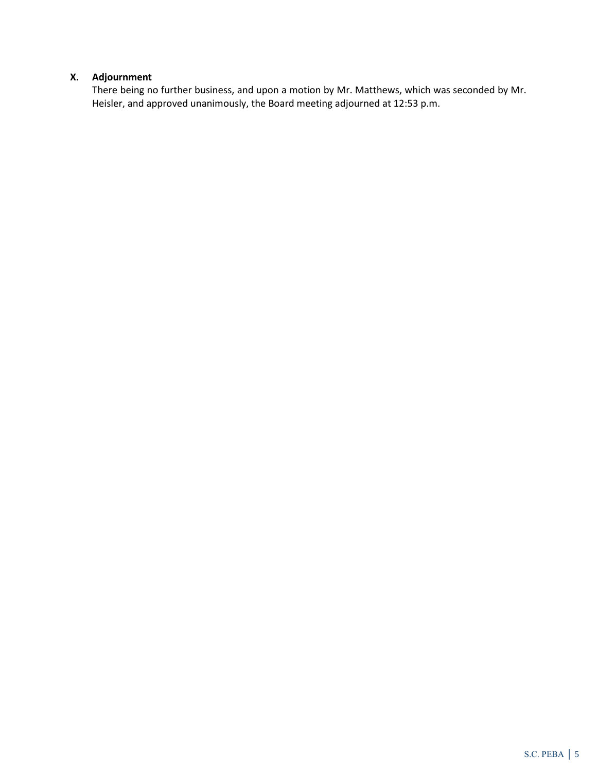## **X. Adjournment**

There being no further business, and upon a motion by Mr. Matthews, which was seconded by Mr. Heisler, and approved unanimously, the Board meeting adjourned at 12:53 p.m.